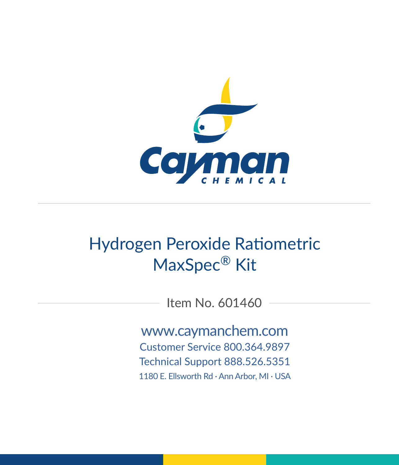

# Hydrogen Peroxide Ratiometric MaxSpec® Kit

Item No. 601460

www.caymanchem.com Customer Service 800.364.9897 Technical Support 888.526.5351 1180 E. Ellsworth Rd · Ann Arbor, MI · USA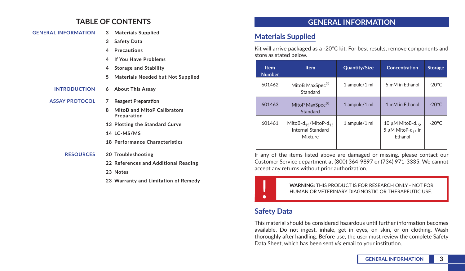## **TABLE OF CONTENTS**

#### **GENERAL INFORMATION 3 Materials Supplied**

- **3 Safety Data**
- **4 Precautions**
- **4 If You Have Problems**
- **4 Storage and Stability**
- **5 Materials Needed but Not Supplied**
- **INTRODUCTION 6 About This Assay**
- **ASSAY PROTOCOL 7 Reagent Preparation**
	- **8 MitoB and MitoP Calibrators Preparation**
	- **13 Plotting the Standard Curve**
	- **14 LC-MS/MS**
	- **18 Performance Characteristics**
	- **RESOURCES 20 Troubleshooting**
		- **22 References and Additional Reading**
		- **23 Notes**
		- **23 Warranty and Limitation of Remedy**

## **GENERAL INFORMATION**

### **Materials Supplied**

Kit will arrive packaged as a -20°C kit. For best results, remove components and store as stated below.

| <b>Item</b><br><b>Number</b> | <b>Item</b>                                                      | <b>Quantity/Size</b> | <b>Concentration</b>                                                     | <b>Storage</b>  |
|------------------------------|------------------------------------------------------------------|----------------------|--------------------------------------------------------------------------|-----------------|
| 601462                       | MitoB MaxSpec <sup>®</sup><br>Standard                           | 1 ampule/1 ml        | 5 mM in Ethanol                                                          | $-20^{\circ}$ C |
| 601463                       | MitoP MaxSpec <sup>®</sup><br>Standard                           | 1 ampule/1 ml        | 1 mM in Ethanol                                                          | $-20^{\circ}$ C |
| 601461                       | MitoB- $d_{15}$ /MitoP- $d_{15}$<br>Internal Standard<br>Mixture | 1 ampule/1 ml        | 10 $\mu$ M MitoB-d <sub>15</sub> ,<br>5 µM MitoP- $d_{15}$ in<br>Fthanol | $-20^{\circ}$ C |

If any of the items listed above are damaged or missing, please contact our Customer Service department at (800) 364-9897 or (734) 971-3335. We cannot accept any returns without prior authorization.



! **WARNING:** THIS PRODUCT IS FOR RESEARCH ONLY - NOT FOR HUMAN OR VETERINARY DIAGNOSTIC OR THERAPEUTIC USE.

# **Safety Data**

This material should be considered hazardous until further information becomes available. Do not ingest, inhale, get in eyes, on skin, or on clothing. Wash thoroughly after handling. Before use, the user must review the complete Safety Data Sheet, which has been sent *via* email to your institution.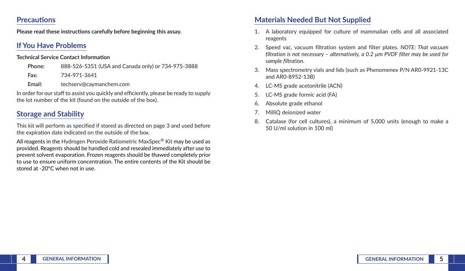### **Precautions**

**Please read these instructions carefully before beginning this assay.**

## **If You Have Problems**

### **Technical Service Contact Information**

| Phone: | 888-526-5351 (USA and Canada only) or 734-975-3888 |
|--------|----------------------------------------------------|
| Fax:   | 734-971-3641                                       |
| Email: | techserv@cavmanchem.com                            |

In order for our staff to assist you quickly and efficiently, please be ready to supply the lot number of the kit (found on the outside of the box).

# **Storage and Stability**

This kit will perform as specified if stored as directed on page 3 and used before the expiration date indicated on the outside of the box.

All reagents in the Hydrogen Peroxide Ratiometric MaxSpec<sup>®</sup> Kit may be used as provided. Reagents should be handled cold and resealed immediately after use to prevent solvent evaporation. Frozen reagents should be thawed completely prior to use to ensure uniform concentration. The entire contents of the Kit should be stored at -20°C when not in use.

### **Materials Needed But Not Supplied**

- 1. A laboratory equipped for culture of mammalian cells and all associated reagents
- 2. Speed vac, vacuum filtration system and filter plates. *NOTE: That vacuum filtration is not necessary – alternatively, a 0.2 µm PVDF filter may be used for sample filtration.*
- 3. Mass spectrometry vials and lids (such as Phenomenex P/N AR0-9921-13C and AR0-8952-13B)
- 4. LC-MS grade acetonitrile (ACN)
- 5. LC-MS grade formic acid (FA)
- 6. Absolute grade ethanol
- 7. MilliQ deionized water
- 8. Catalase (for cell cultures), a minimum of 5,000 units (enough to make a 50 U/ml solution in 100 ml)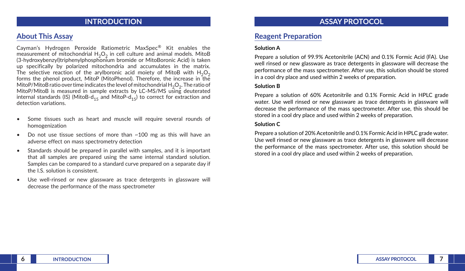### **INTRODUCTION**

### **About This Assay**

Cayman's Hydrogen Peroxide Ratiometric MaxSpec® Kit enables the measurement of mitochondrial  $H_2O_2$  in cell culture and animal models. MitoB (3-hydroxybenzyl)triphenylphosphonium bromide or MitoBoronic Acid) is taken up specifically by polarized mitochondria and accumulates in the matrix. The selective reaction of the arylboronic acid moiety of MitoB with  $H_2O_2$ forms the phenol product, MitoP (MitoPhenol). Therefore, the increase in the MitoP/MitoB ratio over time indicates the level of mitochondrial  $H_2O_2$ . The ratio of MitoP/MitoB is measured in sample extracts by LC-MS/MS using deuterated internal standards (IS) (MitoB-d<sub>15</sub> and MitoP-d<sub>15</sub>) to correct for extraction and detection variations.

- Some tissues such as heart and muscle will require several rounds of homogenization
- Do not use tissue sections of more than ~100 mg as this will have an adverse effect on mass spectrometry detection
- Standards should be prepared in parallel with samples, and it is important that all samples are prepared using the same internal standard solution. Samples can be compared to a standard curve prepared on a separate day if the I.S. solution is consistent.
- Use well-rinsed or new glassware as trace detergents in glassware will decrease the performance of the mass spectrometer

### **ASSAY PROTOCOL**

### **Reagent Preparation**

#### **Solution A**

Prepare a solution of 99.9% Acetonitrile (ACN) and 0.1% Formic Acid (FA). Use well rinsed or new glassware as trace detergents in glassware will decrease the performance of the mass spectrometer. After use, this solution should be stored in a cool dry place and used within 2 weeks of preparation.

#### **Solution B**

Prepare a solution of 60% Acetonitrile and 0.1% Formic Acid in HPLC grade water. Use well rinsed or new glassware as trace detergents in glassware will decrease the performance of the mass spectrometer. After use, this should be stored in a cool dry place and used within 2 weeks of preparation.

#### **Solution C**

Prepare a solution of 20% Acetonitrile and 0.1% Formic Acid in HPLC grade water. Use well rinsed or new glassware as trace detergents in glassware will decrease the performance of the mass spectrometer. After use, this solution should be stored in a cool dry place and used within 2 weeks of preparation.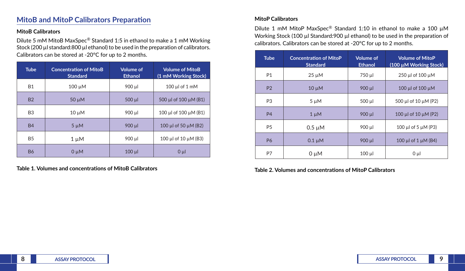### **MitoB and MitoP Calibrators Preparation**

#### **MitoB Calibrators**

Dilute 5 mM MitoB MaxSpec® Standard 1:5 in ethanol to make a 1 mM Working Stock (200 µl standard:800 µl ethanol) to be used in the preparation of calibrators. Calibrators can be stored at -20°C for up to 2 months.

| <b>Tube</b>    | <b>Concentration of MitoB</b><br><b>Standard</b> | <b>Volume of</b><br><b>Ethanol</b> | <b>Volume of MitoB</b><br>(1 mM Working Stock) |
|----------------|--------------------------------------------------|------------------------------------|------------------------------------------------|
| <b>B1</b>      | $100 \mu M$                                      | 900 µl                             | $100 \mu l$ of $1 \mu M$                       |
| <b>B2</b>      | $50 \mu M$                                       | $500$ $\mu$                        | 500 µl of $100 \mu M$ (B1)                     |
| B <sub>3</sub> | $10 \mu M$                                       | 900 µl                             | 100 µl of 100 $\mu$ M (B1)                     |
| <b>B4</b>      | $5 \mu M$                                        | 900 ul                             | 100 µl of 50 $\mu$ M (B2)                      |
| <b>B5</b>      | $1 \mu M$                                        | 900 µl                             | 100 µl of 10 $\mu$ M (B3)                      |
| <b>B6</b>      | $0 \mu M$                                        | $100 \mu$                          | $0 \mu$                                        |

**Table 1. Volumes and concentrations of MitoB Calibrators**

### **MitoP Calibrators**

Dilute 1 mM MitoP MaxSpec® Standard 1:10 in ethanol to make a 100 µM Working Stock (100 µl Standard: 900 µl ethanol) to be used in the preparation of calibrators. Calibrators can be stored at -20°C for up to 2 months.

| <b>Tube</b>    | <b>Concentration of MitoP</b><br><b>Standard</b> | <b>Volume of</b><br><b>Ethanol</b> | <b>Volume of MitoP</b><br>(100 µM Working Stock) |
|----------------|--------------------------------------------------|------------------------------------|--------------------------------------------------|
| P <sub>1</sub> | $25 \mu M$                                       | 750 µl                             | 250 µl of $100 \mu M$                            |
| P <sub>2</sub> | $10 \mu M$                                       | $900 \mu$                          | 100 µl of 100 µM                                 |
| P <sub>3</sub> | $5 \mu M$                                        | $500$ $\mu$                        | 500 µl of 10 µM (P2)                             |
| <b>P4</b>      | $1 \mu M$                                        | $900 \mu$                          | 100 µl of 10 $\mu$ M (P2)                        |
| P <sub>5</sub> | $0.5 \mu M$                                      | 900 µl                             | 100 µl of 5 $\mu$ M (P3)                         |
| <b>P6</b>      | $0.1 \mu M$                                      | $900 \mu$                          | 100 µl of $1 \mu M$ (B4)                         |
| P7             | 0 µM                                             | $100 \mu$                          | $0 \mu l$                                        |

**Table 2. Volumes and concentrations of MitoP Calibrators**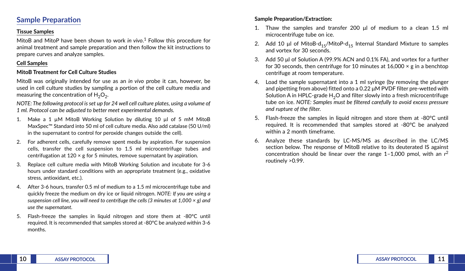### **Sample Preparation**

#### **Tissue Samples**

MitoB and MitoP have been shown to work *in vivo*. 1 Follow this procedure for animal treatment and sample preparation and then follow the kit instructions to prepare curves and analyze samples.

### **Cell Samples**

### **MitoB Treatment for Cell Culture Studies**

MitoB was originally intended for use as an *in vivo* probe it can, however, be used in cell culture studies by sampling a portion of the cell culture media and measuring the concentration of  $H_2O_2$ .

*NOTE: The following protocol is set up for 24 well cell culture plates, using a volume of 1 ml. Protocol can be adjusted to better meet experimental demands.* 

- 1. Make a 1 µM MitoB Working Solution by diluting 10 µl of 5 mM MitoB MaxSpec™ Standard into 50 ml of cell culture media. Also add catalase (50 U/ml) in the supernatant to control for peroxide changes outside the cell).
- 2. For adherent cells, carefully remove spent media by aspiration. For suspension cells, transfer the cell suspension to 1.5 ml microcentrifuge tubes and centrifugation at  $120 \times g$  for 5 minutes, remove supernatant by aspiration.
- 3. Replace cell culture media with MitoB Working Solution and incubate for 3-6 hours under standard conditions with an appropriate treatment (e.g., oxidative stress, antioxidant, etc.).
- 4. After 3-6 hours, transfer 0.5 ml of medium to a 1.5 ml microcentrifuge tube and quickly freeze the medium on dry ice or liquid nitrogen. *NOTE: If you are using a suspension cell line, you will need to centrifuge the cells (3 minutes at 1,000 × g) and use the supernatant.*
- 5. Flash-freeze the samples in liquid nitrogen and store them at -80°C until required. It is recommended that samples stored at -80°C be analyzed within 3-6 months.

### **Sample Preparation/Extraction:**

- 1. Thaw the samples and transfer 200 μl of medium to a clean 1.5 ml microcentrifuge tube on ice.
- 2. Add 10 µl of MitoB-d<sub>15</sub>/MitoP-d<sub>15</sub> Internal Standard Mixture to samples and vortex for 30 seconds.
- 3. Add 50 μl of Solution A (99.9% ACN and 0.1% FA), and vortex for a further for 30 seconds, then centrifuge for 10 minutes at  $16,000 \times g$  in a benchtop centrifuge at room temperature.
- 4. Load the sample supernatant into a 1 ml syringe (by removing the plunger and pipetting from above) fitted onto a 0.22 μM PVDF filter pre-wetted with Solution A in HPLC-grade  $H<sub>2</sub>O$  and filter slowly into a fresh microcentrifuge tube on ice. *NOTE: Samples must be filtered carefully to avoid excess pressure and rupture of the filter.*
- 5. Flash-freeze the samples in liquid nitrogen and store them at -80°C until required. It is recommended that samples stored at -80°C be analyzed within a 2 month timeframe.
- 6. Analyze these standards by LC-MS/MS as described in the LC/MS section below. The response of MitoB relative to its deuterated IS against concentration should be linear over the range 1–1,000 pmol, with an *r*<sup>2</sup> routinely >0.99.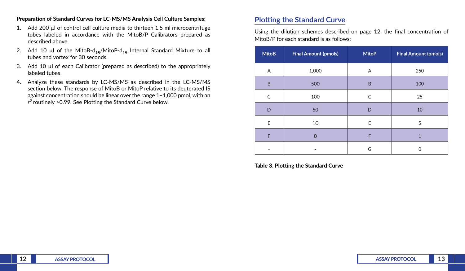#### **Preparation of Standard Curves for LC-MS/MS Analysis Cell Culture Samples:**

- 1. Add 200 µl of control cell culture media to thirteen 1.5 ml microcentrifuge tubes labeled in accordance with the MitoB/P Calibrators prepared as described above.
- 2. Add 10 µl of the MitoB-d<sub>15</sub>/MitoP-d<sub>15</sub> Internal Standard Mixture to all tubes and vortex for 30 seconds.
- 3. Add 10 µl of each Calibrator (prepared as described) to the appropriately labeled tubes
- 4. Analyze these standards by LC-MS/MS as described in the LC-MS/MS section below. The response of MitoB or MitoP relative to its deuterated IS against concentration should be linear over the range 1–1,000 pmol, with an *r*2 routinely >0.99. See Plotting the Standard Curve below.

### **Plotting the Standard Curve**

Using the dilution schemes described on page 12, the final concentration of MitoB/P for each standard is as follows:

| <b>MitoB</b> | <b>Final Amount (pmols)</b> | <b>MitoP</b> | <b>Final Amount (pmols)</b> |
|--------------|-----------------------------|--------------|-----------------------------|
| Α            | 1,000                       | Α            | 250                         |
| B            | 500                         | B            | 100                         |
| C            | 100                         | C            | 25                          |
| D            | 50                          | D            | 10                          |
| E            | 10                          | E            | 5                           |
| F            | $\Omega$                    | F            | 1                           |
|              |                             | G            | ი                           |

**Table 3. Plotting the Standard Curve**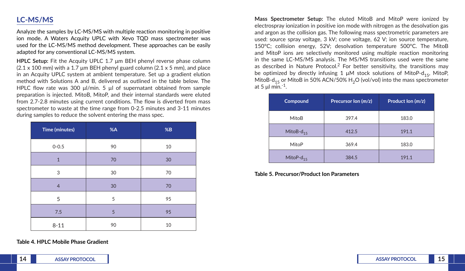## **LC-MS/MS**

Analyze the samples by LC-MS/MS with multiple reaction monitoring in positive ion mode. A Waters Acquity UPLC with Xevo TQD mass spectrometer was used for the LC-MS/MS method development. These approaches can be easily adapted for any conventional LC-MS/MS system.

**HPLC Setup:** Fit the Acquity UPLC 1.7 μm BEH phenyl reverse phase column  $(2.1 \times 100 \text{ mm})$  with a 1.7 µm BEH phenyl guard column  $(2.1 \times 5 \text{ mm})$ , and place in an Acquity UPLC system at ambient temperature. Set up a gradient elution method with Solutions A and B, delivered as outlined in the table below. The HPLC flow rate was 300 μl/min. 5 µl of supernatant obtained from sample preparation is injected. MitoB, MitoP, and their internal standards were eluted from 2.7-2.8 minutes using current conditions. The flow is diverted from mass spectrometer to waste at the time range from 0-2.5 minutes and 3-11 minutes during samples to reduce the solvent entering the mass spec.

| Time (minutes) | %A | $\boldsymbol{\%}\textbf{B}$ |
|----------------|----|-----------------------------|
| $0 - 0.5$      | 90 | 10                          |
| $\mathbf{1}$   | 70 | 30                          |
| 3              | 30 | 70                          |
| $\overline{4}$ | 30 | 70                          |
| 5              | 5  | 95                          |
| 7.5            | 5  | 95                          |
| $8 - 11$       | 90 | 10                          |

**Table 4. HPLC Mobile Phase Gradient**

**Mass Spectrometer Setup:** The eluted MitoB and MitoP were ionized by electrospray ionization in positive ion mode with nitrogen as the desolvation gas and argon as the collision gas. The following mass spectrometric parameters are used: source spray voltage, 3 kV; cone voltage, 62 V; ion source temperature, 150°C; collision energy, 52V; desolvation temperature 500°C. The MitoB and MitoP ions are selectively monitored using multiple reaction monitoring in the same LC-MS/MS analysis. The MS/MS transitions used were the same as described in Nature Protocol.2 For better sensitivity, the transitions may be optimized by directly infusing 1  $\mu$ M stock solutions of MitoP-d<sub>15</sub>, MitoP, MitoB-d<sub>15</sub> or MitoB in 50% ACN/50% H<sub>2</sub>O (vol/vol) into the mass spectrometer at 5  $\mu$ l min.<sup>-1</sup>.

| Compound        | Precursor Ion $(m/z)$ | Product Ion (m/z) |
|-----------------|-----------------------|-------------------|
| MitoB           | 397.4                 | 183.0             |
| MitoB- $d_{15}$ | 412.5                 | 191.1             |
| MitoP           | 369.4                 | 183.0             |
| MitoP- $d_{15}$ | 384.5                 | 191.1             |

**Table 5. Precursor/Product Ion Parameters**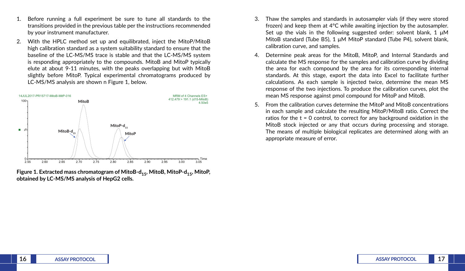- 1. Before running a full experiment be sure to tune all standards to the transitions provided in the previous table per the instructions recommended by your instrument manufacturer.
- 2. With the HPLC method set up and equilibrated, inject the MitoP/MitoB high calibration standard as a system suitability standard to ensure that the baseline of the LC-MS/MS trace is stable and that the LC-MS/MS system is responding appropriately to the compounds. MitoB and MitoP typically elute at about 9-11 minutes, with the peaks overlapping but with MitoB slightly before MitoP. Typical experimental chromatograms produced by LC-MS/MS analysis are shown n Figure 1, below.



**Figure 1. Extracted mass chromatogram of MitoB-d<sub>15</sub>, MitoB, MitoP-d<sub>15</sub>, MitoP, obtained by LC-MS/MS analysis of HepG2 cells.**

- 3. Thaw the samples and standards in autosampler vials (if they were stored frozen) and keep them at 4°C while awaiting injection by the autosampler. Set up the vials in the following suggested order: solvent blank,  $1 \mu M$ MitoB standard (Tube B5), 1 μM MitoP standard (Tube P4), solvent blank, calibration curve, and samples.
- 4. Determine peak areas for the MitoB, MitoP, and Internal Standards and calculate the MS response for the samples and calibration curve by dividing the area for each compound by the area for its corresponding internal standards. At this stage, export the data into Excel to facilitate further calculations. As each sample is injected twice, determine the mean MS response of the two injections. To produce the calibration curves, plot the mean MS response against pmol compound for MitoP and MitoB.
- 5. From the calibration curves determine the MitoP and MitoB concentrations in each sample and calculate the resulting MitoP/MitoB ratio. Correct the ratios for the  $t = 0$  control, to correct for any background oxidation in the MitoB stock injected or any that occurs during processing and storage. The means of multiple biological replicates are determined along with an appropriate measure of error.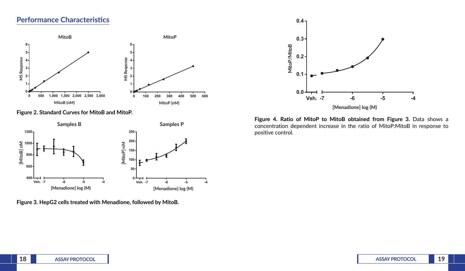### **Performance Characteristics**



**Figure 2. Standard Curves for MitoB and MitoP.**



**Figure 3. HepG2 cells treated with Menadione, followed by MitoB.**



**Figure 4. Ratio of MitoP to MitoB obtained from Figure 3.** Data shows a concentration dependent increase in the ratio of MitoP:MitoB in response to positive control.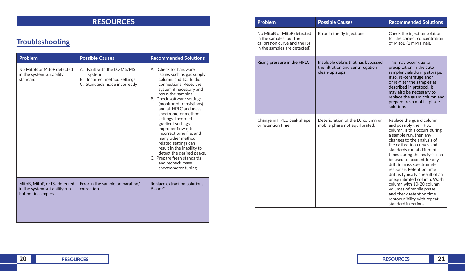# **RESOURCES**

# **Troubleshooting**

| Problem                                                                              | <b>Possible Causes</b>                                                                                | <b>Recommended Solutions</b>                                                                                                                                                                                                                                                                                                                                                                                                                                                                                                                        |  |
|--------------------------------------------------------------------------------------|-------------------------------------------------------------------------------------------------------|-----------------------------------------------------------------------------------------------------------------------------------------------------------------------------------------------------------------------------------------------------------------------------------------------------------------------------------------------------------------------------------------------------------------------------------------------------------------------------------------------------------------------------------------------------|--|
| No MitoB or MitoP detected<br>in the system suitability<br>standard                  | A. Fault with the LC-MS/MS<br>system<br>B. Incorrect method settings<br>C. Standards made incorrectly | A. Check for hardware<br>issues such as gas supply,<br>column, and LC fluidic<br>connections. Reset the<br>system if necessary and<br>rerun the samples<br>B. Check software settings<br>(monitored transistions)<br>and all HPLC and mass<br>spectrometer method<br>settings. Incorrect<br>gradient settings,<br>improper flow rate,<br>incorrect tune file, and<br>many other method<br>related settings can<br>result in the inability to<br>detect the desired peaks.<br>C. Prepare fresh standards<br>and recheck mass<br>spectrometer tuning. |  |
| MitoB, MitoP, or ISs detected<br>in the system suitability run<br>but not in samples | Error in the sample preparation/<br>extraction                                                        | Replace extraction solutions<br>B and C                                                                                                                                                                                                                                                                                                                                                                                                                                                                                                             |  |

|  | <b>Problem</b>                                                                                                         | <b>Possible Causes</b>                                                                    | <b>Recommended Solutions</b>                                                                                                                                                                                                                                                                                                                                                                                                                                                                                                                  |
|--|------------------------------------------------------------------------------------------------------------------------|-------------------------------------------------------------------------------------------|-----------------------------------------------------------------------------------------------------------------------------------------------------------------------------------------------------------------------------------------------------------------------------------------------------------------------------------------------------------------------------------------------------------------------------------------------------------------------------------------------------------------------------------------------|
|  | No MitoB or MitoP detected<br>in the samples (but the<br>calibration curve and the ISs<br>in the samples are detected) | Error in the fly injections                                                               | Check the injection solution<br>for the correct concentration<br>of MitoB (1 mM Final).                                                                                                                                                                                                                                                                                                                                                                                                                                                       |
|  | Rising pressure in the HPLC                                                                                            | Insoluble debris that has bypassed<br>the filtration and centrifugation<br>clean-up steps | This may occur due to<br>precipitation in the auto<br>sampler vials during storage.<br>If so, re-centrifuge and/<br>or re-filter the samples as<br>described in protocol. It<br>may also be necessary to<br>replace the guard column and<br>prepare fresh mobile phase<br>solutions                                                                                                                                                                                                                                                           |
|  | Change in HPLC peak shape<br>or retention time                                                                         | Deterioration of the LC column or<br>mobile phase not equilibrated.                       | Replace the guard column<br>and possibly the HPLC<br>column. If this occurs during<br>a sample run, then any<br>changes to the analysis of<br>the calibration curves and<br>standards run at different<br>times during the analysis can<br>be used to account for any<br>drift in mass spectrometer<br>response. Retention time<br>drift is typically a result of an<br>unequilibrated column. Wash<br>column with 10-20 column<br>volumes of mobile phase<br>and check retention time<br>reproducibility with repeat<br>standard injections. |